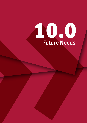# 10.0 **Future Needs**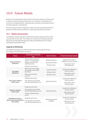## 10.0 Future Needs

Requests of the Queensland Government for financial support to develop new or improve existing, large sporting venues and stadiums, are frequent and come from local governments, sporting clubs and bodies, federal government and State agencies, including SQ.

The State should consider adopting a stadium decision making framework to guide and inform future investment in major sports facilities and venues.

#### 10.1 Needs Assessment

Consideration of State support for major sports facilities should commence with an assessment of the need. This includes an assessment of existing capacity of SQ venues to meet potential demand as well as the likelihood of new content entering the Queensland market.

#### Capacity at SQ Venues

The Taskforce assessed each of the SQ venues for unused capacity and any service gaps in the SQ provision of venues.

| <b>Venue</b>                                                            | <b>Assessment of Existing</b><br>Use                                                                                  | <b>Anchor Tenants</b>                                              | <b>Potential Existing Capacity</b>                                                         |  |
|-------------------------------------------------------------------------|-----------------------------------------------------------------------------------------------------------------------|--------------------------------------------------------------------|--------------------------------------------------------------------------------------------|--|
| <b>Suncorp Stadium</b><br>(Brisbane)                                    | Three anchor tenants (2<br>winter, 1 summer) plus<br>regular one-off major<br>sporting events<br>Frequent concert use | <b>Brisbane Broncos</b><br>Queensland Reds<br><b>Brisbane Roar</b> | Capacity for at least 1<br>additional anchor tenant<br>Capacity for more<br>one-off events |  |
| <b>The Gabba</b><br>(Brisbane)                                          | Year round use through<br>AFL (winter) and cricket<br>(summer)<br>Venue now used for<br>concerts                      | Cricket Australia<br><b>Brisbane Heat</b><br><b>Brisbane Lions</b> | Capacity for additional<br>anchor tenants<br>Capacity for more<br>one-off events           |  |
| <b>Cbus Super Stadium</b><br>(Gold Coast)                               | Single tenant venue<br>Low concert use and low<br>one-off sporting event use                                          | <b>Gold Coast Titans</b>                                           | Capacity for additional<br>anchor tenants<br>Capacity for more<br>one-off events           |  |
| <b>Metricon Stadium</b><br>(Gold Coast)                                 | Single tenant venue<br>Low concert use and low<br>one-off sporting event use<br>Cricket commencing at<br>venue        | <b>Gold Coast Suns</b>                                             | Capacity for additional<br>anchor tenants<br>Capacity for more<br>one-off events           |  |
| 1300SMILES Stadium /<br><b>North Queensland Stadium</b><br>(Townsville) | Single tenant venue<br>Low concert use and low<br>one-off sporting event use                                          | North Queensland<br>Cowboys                                        | Capacity for additional<br>anchor tenants<br>Capacity for more<br>one-off events           |  |
| Stadium Taskforce - Final Report >> =<br>120                            |                                                                                                                       |                                                                    |                                                                                            |  |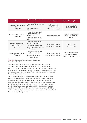| <b>Venue</b>                                                         | <b>Assessment of Existing</b><br><b>Use</b>                                                                                  | <b>Anchor Tenants</b>                                         |                                                                                |  |
|----------------------------------------------------------------------|------------------------------------------------------------------------------------------------------------------------------|---------------------------------------------------------------|--------------------------------------------------------------------------------|--|
| <b>Brisbane Entertainment</b><br>Centre<br>(Brisbane)                | High level of fit-for-purpose<br>use<br>Event size restricted by<br>venue                                                    | Various sporting<br>organisations and<br>entertainment events | Small capacity for<br>additional events                                        |  |
| <b>Queensland Tennis Centre</b><br>(Brisbane)                        | Annual major event and<br>regular one-off major<br>tennis events<br>High-level of community<br>use                           | Brisbane International                                        | Capacity for additional<br>tennis and non-tennis<br>events                     |  |
| <b>Queensland Sport and</b><br><b>Athletics Centre</b><br>(Brisbane) | High-level of community<br>and elite athlete use<br>Low concert use and low<br>one-off sporting events use<br>(main stadium) | Various sporting and<br>community organisations               | Capacity for more<br>one-off events                                            |  |
| <b>Sleeman Sports Complex</b><br>(Brisbane)                          | High-level of community<br>and elite athlete use<br>Vacant land for future<br>facility development                           | Various sporting and<br>community organisations               | Capacity for additional<br>purpose-built sport<br>facilities to be constructed |  |

Table 10.1: Assessment of Unused Capacity at SQ Venues *Source: Stadiums Queensland Data*

The Taskforce has identified existing capacity across the SQ portfolio, specifically in its stadium assets, for additional long-term and one-off content. Therefore, Queensland is well placed to accommodate any requests or opportunities for additional major events through the SQ portfolio as it has available capacity in the heavily populated south east Queensland and north Queensland catchment areas.

The assessment in Table 10.1 above shows that the five stadiums all have capacity to host additional content. Suncorp Stadium can likely only support one additional anchor tenant. Two or more anchor tenants may result in deterioration of the playing surface. This is less of an issue at venues such as the Melbourne Cricket Ground, for while it hosts 50 AFL matches per annum, the playing surface does not have to be regularly maintained to a standard suitable for football (soccer). The regionally based stadium at the Gold Coast and Townsville are single-tenanted venues that have the capacity for additional tenants and one-off major events.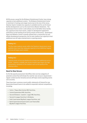All SQ venues, except for the Brisbane Entertainment Centre, have strong capacity to host additional content. The Brisbane Entertainment Centre is restricted in hosting some larger events due to the size of the venue. Sleeman Sports Complex has capacity in available land for use for future facility developments such as the recent Anna Meares Velodrome. The Queensland Tennis Centre is well utilised, but its Pat Rafter Arena facility has capacity to host more events, subject to development agreement restrictions on the hosting of non-tennis events at that venue. Queensland Sport and Athletics Centre is heavily utilised from a community use and athlete development perspective, but its main stadium has capacity to host additional one-off major entertainment or sporting events.

#### **Finding 10.1**

The five major stadium assets within the Stadiums Queensland venue portfolio have more than adequate capacity to host additional regular and one-off major event content.

#### **Finding 10.2**

Capacity exists at Suncorp Stadium for at least one additional anchor tenant. However, multiple new anchor tenants may impact the high presentation standards of the stadium such as the quality of the playing surface.

#### Need for New Venues

As the SQ capacity assessment identified, there are two categories of potential content that will dictate the need for new venues in Queensland – regular content (anchor tenants) and one-off major events (sporting events and concerts).

There have been numerous recent public statements of interest for new Queensland-based teams to be added to expanded national competitions, including:

- » Cairns / Papua New Guinea NRL franchise,
- » Central Queensland NRL franchise,
- » Second Brisbane / Ipswich / Logan NRL franchise,
- » Second A-League franchise in Brisbane,
- » Gold Coast-based Big Bash League franchise, and
- » North Queensland-based (Cairns and Townsville) Big Bash League franchise.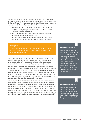The Taskforce understands that expansion of national leagues is something the governing bodies are always considering but appear reluctant to progress in the near future. The known interest in new franchises does not equate to a need for new stadiums in Queensland for the following reasons:

- » any greater Brisbane region or Gold Coast-based franchise seeking to play at a rectangular venue would be able to be based at Suncorp Stadium or Cbus Super Stadium,
- » any Gold Coast-based Big Bash League side would be able to be accommodated at Metricon Stadium, and
- » any other franchises would be able to play at existing local venues with appropriate bump in facilities based on anticipated crowds.

#### **Finding 10.3**

There is no immediate need for the development of any new build stadium in Queensland because there is existing capacity in the current suite of stadiums.

This is further supported by previous analysis presented in Section 3, for example, Queensland is the only State Government in Australia that owns three regionally-based Tier 2 stadiums, so has an existing provision of stadiums that is more spread across the state than other jurisdictions.

Recommended changes to the way the State approaches the attraction of major events to Queensland will support regional centres that do not have an SQ venue including Cairns, Mackay, Rockhampton, Gladstone, Bundaberg, Fraser Coast, Sunshine Coast and Toowoomba. Bringing major event content to these regional venues on an annual basis may reduce community interest in attracting additional national franchises to regional communities and the associated significant capital and operating expenses.

The finding that there is no current or foreseeable need for new stadiums in Queensland is reliant upon existing capacity within the current SQ portfolio being able to deliver new content requirements. This relies on the portfolio continuing to be fit for purpose and improved to meet market demands and community expectations. The priority for the State should be to focus on the existing SQ portfolio as opposed to the construction of new venues. The most effective way to deliver this into the future is to implement strategies that will maximise the use of the existing venues and extend their remaining useful life.

#### **Recommendation 10.1**

The Queensland Government should prioritise the attraction of semi-regular, one-off major event content to regional centres in Queensland that do not have Stadiums Queensland venues as a method of providing these regions with content without having to construct new stadium assets associated with additional national franchises.

### **Recommendation 10.2**

The Queensland Government adopt a policy decision to prioritise the maintenance and enhancement and to maximise the use of existing stadiums in Queensland rather than build new stadium facilities.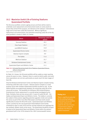#### 10.2 Maximise Useful Life of Existing Stadiums Queensland Portfolio

The SQ venue portfolio contains ageing venues and there will be need to undertake asset replacement and enhancement works on some assets to ensure they remain fit for purpose, are relevant on the national / international stage and to have their useful life maximised. Without significant replacement and enhancement, the estimated remaining useful life of the SQ asset portfolio is shown in Table 10.2 below.

| <b>Venue</b>                                 | <b>Remaining useful life</b><br>(years) |
|----------------------------------------------|-----------------------------------------|
| <b>Suncorp Stadium</b>                       | 18.1                                    |
| <b>Cbus Super Stadium</b>                    | 21.7                                    |
| 1300SMILES Stadium                           | 14.8                                    |
| Queensland Tennis Centre                     | 20.3                                    |
| Sleeman Sports Complex                       | 9.9                                     |
| The Gabba                                    | 11.6                                    |
| Metricon Stadium                             | 25.7                                    |
| <b>Brisbane Entertainment Centre</b>         | 9.9                                     |
| <b>Queensland Sport and Athletics Centre</b> | 11.1                                    |

#### Table 10.2: Estimated Remaining Useful Life of Stadiums Queensland Venues, without enhancement

*Source: Stadiums Queensland Data*

As Table 10.2 shows, the SQ asset portfolio will be usable as major sporting venues for years to come. However, there is a point at which public and event hirer expectations are not met, particularly as assets reach the later stages of their life.

Only the Brisbane Entertainment Centre and Sleeman Sports Complex having remaining useful life under 10 years. Sleeman Sports Complex is a multipurpose venue with multiple independent facilities located on site. As the oldest facilities are progressively updated, the remaining useful life of the venue will increase. The feasibility of a Brisbane-CBD located Brisbane Entertainment Centre replacement is currently being investigated by the State. Similarly, there are two venues with 11 years of useful life left – the Gabba and Queensland Sport and Athletics Centre. The Gabba is currently the subject of discussions regarding potential upgrades inside and outside the venue as part of the Cross River Rail project and these works would significantly increase the life of the asset. Queensland Sport and Athletics Centre currently has the new Queensland State Netball Centre facility scheduled to open in early 2019 and has recently replaced and upgraded the two synthetic athletic tracks at the venue. The Queensland Academy of Sport is based at the Queensland Sport and Athletics Centre within the western grandstand built in the 1970s ahead of the 1982 Commonwealth Games.

#### **Finding 10.4**

There is significant potential for the existing Stadiums Queensland venue portfolio to remain relevant and useful for the next 20 years in Queensland subject to moderate mid-lifecycle capital investment.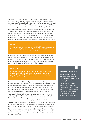To estimate the capital enhancements required to maximise the use of SQ venues for the next 20 years and beyond, a high level forecast capital expenditure profile was utilised which helped the Taskforce assess proposed major investment into the SQ portfolio over the next two decades. While at a conceptual stage, the size of the investment identified is significant.

Despite this, there are strong community expectations that all of the events and SQ venues currently in Queensland will continue into the future. The capital investment required to keep the existing asset portfolio relevant and extend the life of the assets, through strategies such as mid lifecycle refurbishment, is likely to be significantly cheaper for the taxpayer than building new venues to replace the assets as their current useful life expires.

#### **Finding 10.5**

The capital investment proposed to extend the life of existing stadiums is likely to be significantly cheaper than the option of building new venues to replace the assets as their useful life expires.

Maximising the useful life of the SQ venue portfolio through mid-lifecycle capital investments will enhance SQ's ability to deliver the three intended benefits the SQ portfolio offers Queensland, which is to deliver major events, to provide participation opportunities in sport and recreation activities and to support the development of Queensland's elite athletes.

#### **Finding 10.6**

Investing in capital improvements of stadiums increases the ability to attract and retain events in Queensland, increase community participation opportunities and improve the development of elite athletes in Queensland.

Over the past 10 years SQ capital grants have remained steady. As a result, SQ has focused the bulk of its available budgets on maintaining the venues to ensure safety and continued operation. It is important that any future focus on capital enhancement should not come at the detriment of the existing maintenance regime or budgets. This focus on maintenance has constrained SQ's ability to undertake asset enhancement activities.

As previously discussed in Section 9.3, to best support the SQ portfolio deliver its objectives into the future, there needs to be a clear delineation between the role of SQ to fund planned and unplanned maintenance and minor capital works (up to \$3 million project value) of its assets.

To assist the State in planning for minor capital works and major capital works, the Taskforce recommends SQ be required to submit annual planned capital works updates to Government as part of the budget development processes.

Based on the annual capital updates, the Queensland Government will be well placed to plan and prepare for necessary funding of improvements to its major sporting venue portfolio to maximise its useful life and retain its relevance nationally.

#### **Recommendation 10.3**

Stadiums Queensland be required to submit a standalone, annual forward planning update to government well ahead of the annual budget process that details their rolling 10 to 20 year capital enhancement and replacement plan which includes short-term and long-term capital works estimates for the Stadiums Queensland venue portfolio.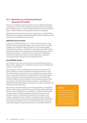#### 10.3 Maximise Use of Existing Stadiums Queensland Portfolio

Section 10.1 identifies it would be cheaper and more efficient for the State to extend the useful life of the existing venue portfolio, rather than develop new or additional assets. In order to maximise the return on past investment, there is a need to maximise the utilisation of the SQ venue portfolio.

Many SQ venues have potential capacity to increase their overall utilisation, whether it be the hosting of additional sporting franchises, additional one-off major events or increased community usage.

#### Additional anchor tenants

As previously identified in Section 10.1, there is existing capacity in SQ's stadium assets to accommodate regular, seasonal hirers such as new NRL, A-League, AFL or Big Bash League franchises. Any new national league franchises that commence in the Brisbane, Gold Coast or Townsville regions, provided their sport fits the configuration of the existing SQ venues, should be based at SQ venues. The State should not consider the development of new venues within these catchment areas whilst there is capacity to accommodate major sporting events at existing SQ venues.

#### One-Off Major Events

One-off major events are concerts and ad-hoc major sporting event such as State of Origin, Wallabies tests, international cricket matches and World Cup matches in various sports.

All of SQ stadium assets (including the main stadium at the Queensland Sport and Athletics Centre) are capable of hosting concert events. Due to the cost of bumping in all stage and sound equipment necessary for these events, capital city locations are more likely to attract events than regional locations. Similarly, one-off major sporting events are more likely to be held at the Gabba and Suncorp Stadium due to the larger capacity of these venues with an increased financial return to the hirer. The Taskforce has identified that all of SQ's stadium assets have the immediate capacity to host additional one-off major events.

The Taskforce understands there is an increasing prevalence of competition between states to attract and retain these one-off major events, particularly sporting events, through either a commitment to increased capital funding of infrastructure or through an agreement with state tourism and event attraction entities to incentivise event promoters for the rights to host an event. Queensland is not currently as competitive in these activities. However the Taskforce has recommended methods through which the State can increase its potential in this area, including introducing an enhanced coordinated approach to major event attraction as described in Section 8.

#### **Finding 10.7**

All Stadiums Queensland venues have the capacity to host additional one-off major events. A competitive and coordinated event attraction strategy is key to increasing the number of major events at Stadiums Queensland venues.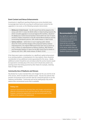#### Event Content and Venue Enhancements

Investments in significant sporting infrastructure across Australia have increasingly been tied to the securing of confirmed event content for the upgraded or new asset, as the following examples demonstrate:

- » Melbourne Cricket Ground the AFL Grand Final will be played at the venue until 2057 in return for \$500 million in State funding towards AFL, which included upgrades to six local/regional AFL facilities, rebuild of the Melbourne Cricket Ground Southern Stand within the next 10 years and \$225 million investment in the AFL-owned Marvel Stadium and the surrounding Docklands precinct. (AFL media release 12 April 2018)
- » Sydney stadiums while there is much ongoing public debate about the merits and final design of the proposed Sydney stadium redevelopments, the original NSW Government plan was to spend up to \$1.5 billion on redevelopment of Alliance Stadium, ANZ Stadium and Parramatta Stadium in return for the NRL Grand Final to remain in Sydney until 2042. (NRL media release 29 March 2018)

If the State were to give consideration to a significant capital enhancement to an existing stadium, or development of a new stadium, there should be consideration of any additional content guaranteed for the venue. Ideally additional content should be over and above what the anchor tenants would be expected to normally play at the venue and it should also protect any existing events from being poached by other States for example, retaining State of Origin matches.

#### Community Use of Stadiums and Venues

SQ already has in place standard fees and charges for the use and hire of all of its venues, which includes the stadium assets. SQ also has policies that provide concessional access and hire rates for community groups to use the stadiums and facilities. Community and not for profit groups may not be aware of the concessional access that is available.

#### **Finding 10.8**

Stadiums Queensland has standard fees and charges and policies that allow for concessional access and hire rates for community groups, however, community organisations are not necessarily aware of the ability to hire stadiums in Queensland.

#### **Recommendation 10.4**

Any significant capital works commitments to stadiums in Queensland should consider commitments from key sports for the securing of new and additional content to the venue, which does not cannibalise content at existing Stadiums Queensland venues.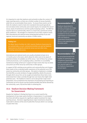It is important to note that stadiums exist primarily to allow the conduct of major sporting events, as there are a limited number of venues Australia wide that can accommodate these events. To ensure these events can be held, the stadiums need to meet strict standards that would typically be over and above what community users would require, for example the size of venue, levels of maintenance and the quality of playing surface. The MSF Act requires SQ to act commercially, which as a result sees commercial activity given preference. SQ manages to a hierarchy of use of SQ's stadium assets with international and national events being granted priority of use over regional, local and community use where a conflict exists.

#### **Finding 10.9**

The *Major Sports Facilities Act 2001* requires Stadiums Queensland to act commercially, as such, commercial activities are seen by Stadiums Queensland as being the priority for venue use over other uses, including community access.

International and national events are usually scheduled at least six to 12 months prior to the event, which allows for other users to be aware of potential windows of available use of the venue. Each of these has various continual processes, such as playing surface, amenities or accessibility maintenance being carried out in support of major events that may not allow concurrent use of the venue by community or other groups.

In support of SQ's existing access policies and community fees and charges, there needs to be an elevated public awareness of the potential use of SQ assets by community and other groups. SQ needs to implement a strategy that identifies accurate windows of usage availability, details the process through which venue hire can be sought and advertises these items more extensively than it does currently through low-cost means that might meet potential users. The Taskforce's intent is not to disrupt SQ's major event preparation, but to emphasise the importance of promoting and reporting on community use of its venues and the positive benefits that will be derived by the community, users, SQ and the State in achieving this.

#### 10.4 Stadium Decision Making Framework for Government

Despite the Taskforce's finding that there is no current need for the development of new major sports facilities in Queensland, it is anticipated that there will still be requests for significant capital investment for major sporting venues. Decisions regarding future major investments should be made well in advance of the end of useful life of venues which is on average 16 years from now.

#### **Recommendation 10.5**

Stadiums Queensland to identify a minimum of 10 days per annum in which each of its main stadium assets are available for hire by community organisations at concessional rates and Stadiums Queensland should promote this as a new opportunity to the wider public.

#### **Recommendation 10.6**

An annual benchmark for the number of community uses of Stadiums Queensland stadium assets be established and reported against in the Stadiums Queensland annual report.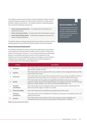The Taskforce recommends the State consider adopting a stadium decision making framework to guide and inform future investment in major sports facilities, stadiums and venues. The stadium decision making framework may include the following components:

- » Venue Scorecard Assessment to compare the functionality and potential of venues
- » Venue Investment Criteria to assess the value of investing in venues
- » Venue Responsibility Matrix to determine categories of venues the State has responsibility for.

The stadium decision making framework would assist with the consistent decision making approach to the assessment of future stadium investment proposals.

#### Venue Scorecard Assessment

The Taskforce developed a venue scorecard to enable direct measurement and comparison of venues based on eight criteria in order to measure the relative "functionality" of venues. The scorecard framework was developed based on consultation with SQ and hirers and the experience of the Taskforce team and was designed to apply to rectangular and oval stadium infrastructure in Queensland. Full details of the scorecard approach is contained within the Interim Report (Appendix 1).

#### **Recommendation 10.7**

The Queensland Government consider adopting a stadium decision making framework to inform future investment in stadiums and major sports facilities.

|                | <b>Criteria</b>                  | <b>Description</b>                                                                                                                                                                                                                                                      |
|----------------|----------------------------------|-------------------------------------------------------------------------------------------------------------------------------------------------------------------------------------------------------------------------------------------------------------------------|
| 1              | Utilisation                      | This criteria refers to the utilisation level of the venue, measured by the number of event<br>days and the number of hirers.                                                                                                                                           |
| $\overline{2}$ | Capacity                         | This criteria refers to the capacity of the venue relative to the average attendances of the<br>events held at the venue.                                                                                                                                               |
| 3              | Catchment                        | This criteria refers to the size of the catchment of the venue, being considered at both an<br>absolute level and also relative to the capacity (i.e. number of seats) of the venue.                                                                                    |
| 4              | Quality                          | This criteria refers to the quality and availability of facilities at the venue including<br>premium seating, food and beverage offerings, technology, proximity to the field of play,<br>sight lines, player facilities, turf, media and broadcasting facilities, etc. |
| 5              | <b>Economic</b><br>contribution  | This criteria refers to the contribution of the venue to the economic activity within the<br>State and also the region in which it is located.                                                                                                                          |
| 6              | <b>Financial viability</b>       | This criteria refers to the overall financial performance of the venue.                                                                                                                                                                                                 |
| 7              | <b>Transport</b><br>connectivity | This criteria refers to the availability and adequacy of transport accessibility (private and<br>public) to the venue.                                                                                                                                                  |
| 8              | Location                         | This criteria refers to the location of the venue relative to other hospitality and<br>entertainment precincts for pre and post-game entertainment / activities.                                                                                                        |

Table 10.3: Venue Scorecard Criteria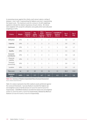In assessing venues against the criteria, each venue is given a rating of between 1 and 3 with 3 representing the highest score and 1 representing the lowest score. The maximum score for a venue is 10 with weightings applied to indicate the relative importance of each criteria. All criteria were weighted 10% except for utilisation and quality which were allocated weightings of 20%.

| <b>Criteria</b>           | Weight | <b>Suncorp</b><br><b>Stadium</b><br>(Tier 1) | <b>The</b><br>Gabba<br>(Tier 1) | <b>Cbus</b><br><b>Super</b><br><b>Stadium</b><br>(Tier 2) | <b>Metricon</b><br><b>Stadium</b><br>(Tier 2) | 1300SMILES<br><b>Stadium</b><br>(Tier 2) | Tier 1<br>Avg. | Tier 2<br>Avg. |
|---------------------------|--------|----------------------------------------------|---------------------------------|-----------------------------------------------------------|-----------------------------------------------|------------------------------------------|----------------|----------------|
| <b>Utilisation</b>        | 20%    | $\overline{3}$                               | $\overline{3}$                  | $\overline{2}$                                            | 2                                             | $\mathbf{1}$                             | 3.0            | 1.7            |
| Capacity                  | 10%    | $\overline{2}$                               | $\overline{2}$                  | $\overline{2}$                                            | $\overline{2}$                                | 3                                        | 2.0            | 2.3            |
| Catchment                 | 10%    | $\overline{\mathbf{3}}$                      | $\overline{\mathbf{3}}$         | $\overline{2}$                                            | $\overline{2}$                                | $\mathbf{1}$                             | 3.0            | 1.7            |
| Quality                   | 20%    | $\overline{2}$                               | $\mathbf{1}$                    | $\overline{3}$                                            | $\overline{3}$                                | $\mathbf{1}$                             | 1.5            | 2.3            |
| Economic<br>contribution  | 10%    | $\overline{\mathbf{3}}$                      | $\overline{3}$                  | $\overline{2}$                                            | $\mathbf{1}$                                  | $1\,$                                    | 3.0            | 1.0            |
| Financial<br>viability    | 10%    | $\mathfrak{Z}$                               | $\overline{2}$                  | $\mathbf{1}$                                              | $\overline{2}$                                | $1\,$                                    | 2.5            | 1.3            |
| Transport<br>connectivity | 10%    | $\overline{3}$                               | 3                               | $\mathbf{1}$                                              | $\mathbf{1}$                                  | $\overline{2}$                           | 3.0            | 1.3            |
| Location                  | 10%    | 3                                            | $\overline{2}$                  | $\overline{2}$                                            | $\mathbf{1}$                                  | $1\,$                                    | 2.5            | 1.3            |
| <b>Raw score</b>          | na     | 22                                           | 19                              | 15                                                        | 14                                            | 11                                       | 20.5           | 13.0           |
| Weighted<br>score         | 100%   | 9.0                                          | 7.7                             | 6.7                                                       | 6.3                                           | 4.3                                      | 8.3            | 5.6            |

Table 10.4: Summary of Stadiums Queensland Venue Scorecard Assessment *Source: Stadiums Queensland Data*

Table 10.4 above represents how SQ's stadium assets performed against the scorecard framework. Suncorp Stadium recorded the highest raw and weighted scores of all SQ venues (22 out of 24 and 9.0 out of 10 respectively). 1300SMILES Stadium recorded the lowest raw and weighted scores (11 out of 24 and 4.3 out of 10 respectively), followed by Metricon Stadium (14 out of 24 and 6.3 out of 10 respectively).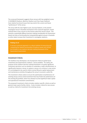The scorecard framework suggests those venues with low weighted scores (1300SMILES Stadium, Metricon Stadium and Cbus Super Stadium) have relative functional issues that may restrict the current and future "performance" of the venue.

The venue with the clear highest score, Suncorp Stadium, is the premier rectangular venue in Australia and based on the scorecard approach, would indicate there is less concern on the horizon about this venue's future. This presents a potentially different decision making consideration for Government based not only on functionality but comparatively against venues in Australia as other states increase their investment in rectangular stadiums.

#### **Finding 10.10**

A venues scorecard approach is a robust method of measuring and comparing the relative functionality of stadium assets and should be included in any stadium decision making framework of the Queensland Government.

#### Investment Criteria

The Taskforce has developed a set of proposed criteria to guide future investment into Queensland's stadium / venue portfolio. For clarity, the purpose of this stadium decision making framework is to guide significant investment decisions such as whether to undertake a major refurbishment, to significantly improve a venue, to replace a venue or to construct a new venue. It is not designed to be used to inform normal lifecycle capital replacement and maintenance activities throughout the venue's economic useful life.

The investment criteria seeks to ensure the optimisation of performance of existing venues and to avoid investment that may hinder the performance of the existing SQ portfolio, which has already incurred significant State capital and operational investment commitments.

The proposed investment criteria includes stadium specific criteria as well as general major sports facility criteria. It also includes criteria for new venues as well as criteria for investment into existing venues.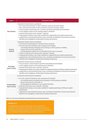| <b>Venue</b>                                    | <b>Investment Criteria</b>                                                                                                                                                                                                                                                                                                                                                                                                                                                                                                                                                                                                                                                                                                |
|-------------------------------------------------|---------------------------------------------------------------------------------------------------------------------------------------------------------------------------------------------------------------------------------------------------------------------------------------------------------------------------------------------------------------------------------------------------------------------------------------------------------------------------------------------------------------------------------------------------------------------------------------------------------------------------------------------------------------------------------------------------------------------------|
| <b>New Stadium</b>                              | Investment should only be considered:<br>» Tier 1 raw score of at least 21 with a minimum score of 2 for each criteria.<br>» Tier 2 raw score of at least 16 with a minimum score of 2 for each criteria.<br>» if any increase in event days and / or hirers cannot be reasonably accommodated.<br>» no net negative impact on the existing stadium utilisation.<br>» certainty of the future event calendar / demand.<br>» if appropriate funding is also made available for ongoing lifecycle capital requirements.<br>» supported by a documented business case, including consideration of social and economic<br>benefits and investigation of alternative funding mechanisms.                                       |
| <b>Existing</b><br><b>Stadium</b>               | Investment should only be considered:<br>» if it will result in generating an improved venue scorecard.<br>» if it is the result of a facility (or sub-component of a facility):<br>- not meeting relevant standards and not being in a fit for purpose condition,<br>- being at the end of its useful life, or<br>- having significant deficiencies as identified by the venue scorecard.<br>» if there is certainty of the future event calendar / demand.<br>» if appropriate funding is also made available for ongoing lifecycle capital requirements.<br>» supported by a documented business case, including consideration of social and economic<br>benefits and investigation of alternative funding mechanisms. |
| <b>New Major</b><br><b>Sports Facility</b>      | Investment should only be considered:<br>» if any increase in event demand cannot be reasonably accommodated.<br>» no net negative impact on the existing venue utilisation.<br>» certainty of the future event calendar / demand.<br>» if appropriate funding is also made available for ongoing operating and lifecycle capital requirements.<br>» supported by a documented business case, including consideration of social and economic<br>benefits and investigation of alternative funding mechanisms.                                                                                                                                                                                                             |
| <b>Existing Major</b><br><b>Sports Facility</b> | Investment should only be considered:<br>» if it is the result of a facility (or sub-component of a facility):<br>- not meeting relevant standards and not being in a fit for purpose condition,<br>- being at the end of its useful life, or<br>- having significant deficiencies e.g. quality of facilities.<br>» certainty of the future event calendar / demand.<br>» if appropriate funding is also made available for ongoing operating and lifecycle capital<br>requirements.<br>» supported by a documented business case, including consideration of social and economic<br>benefits and investigation of alternative funding mechanisms.                                                                        |

#### Table 10.5: Summary of Stadiums Queensland Venue Scorecard Assessment

#### **Finding 10.11**

The application of a stadium investment criteria, similar to the investment criteria outlined in this report, is a robust mechanism for evaluating and prioritising stadium and venue investment opportunities and should be considered by the Queensland Government.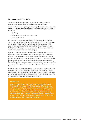#### Venue Responsibilities Matrix

The third component of a decision making framework needs to help determine what type and level of facility the State should have.

All venues that deal with sporting events and participation in Queensland are able to be categorised into broad groups according to the type and nature of the facility:

- » stadiums,
- » indoor sport / entertainment centres, and
- » participation venues.

It is important to categorise facilities into the broad groupings as a first step so that comparisons of venues in Queensland for investment purposes are made between similar-type venues. Within each category of asset type, venues can then be further separated into Tiers which can be used to describe the differences in scope, scale, complexity, usage, profile and standard of venues within each asset category.

Appendix 3 is a Venue Responsibilities Matrix that categorises assets by type and by scale and shows the land owner and operator of the venues. Appendix 3 shows there are clear differences moving through the Tiers of venues. For example, Tier 1 venues across all three categories are generally large, well maintained, international standard, iconic venues capable of hosting high profile events and large numbers of patrons/users, whereas Tier 4 venues could be generalised as being small, community venues serving local areas.

In regards to the SQ portfolio of assets, all SQ venues are identified as being either Tier 1 or 2 in the stadium and indoor sport / entertainment centres categories and Tier 1 in the participation facility category. What this implies is that SQ is responsible for the majority of those venues in Queensland that are large, complex, iconic and host large scale events.

#### **Finding 10.12**

Sporting venues in Queensland can be categorised and placed into Tiers to enable the State to consider its support of different types and scale of major sporting venues through a venues responsibilities matrix approach. This categorisation and Tier approach could be adopted by the wider sporting sector in Queensland as a way of communicating consistently with the Queensland Government regarding sporting venue support and should be considered for inclusion in any stadium decision making framework of the Queensland Government.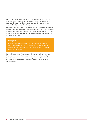The identification of where SQ portfolio assets are located in the Tier matrix is an example of the subsequent analysis that the Tier categorisation of Queensland venues provides for, which is to identify the usual primary responsible entity for each Tier of venue.

Appendix 3 also provides the current ownership and operating responsibility for each Tier of facility across the three categories of assets. It also highlights those existing venues that are outliers to the venue responsibility matrix due to the current primary responsibility being held by an entity not typical of the rest of the Tier venues.

#### **Finding 10.13**

Under the Venues Responsibilities Matrix, Stadiums Queensland owns and operates Tier 1 and 2 stadiums, Tier 1 and 2 indoor sport / entertainment centres and Tier 1 participation venues, due to their nature, size and profile.

The combination of the Venue Responsibilities Matrix with the proposed investment criteria and the venue scorecard assessment approach provides the baseline for a stadium decision making framework that Government can utilise to guide and make decisions relating to support for major sports facilities.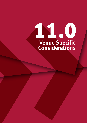## 11.00 **Venue Specific Considerations**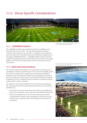## 11.0 Venue Specific Considerations



*2013, 1300SMILES © Stadiums Queensland*

*Artist's impression of stadium grandstand and field of play (July 2018)*

*© Department of Housing and Public Works* 

#### 11.1 1300SMILES Stadium

The 1300SMILES Stadium was transferred to SQ from the Willows Trust / Townsville City Council in 2004. The new North Queensland Stadium, currently under construction in Townsville, is scheduled to be operational prior to the start of the 2020 NRL season and is effectively a replacement of the ageing 1300SMILES Stadium. 1300SMILES Stadium will then become surplus to SQ requirements as a declared major sports facility at some stage between the end of the 2019 NRL season and the commencement of the 2020 season.

#### 11.2 North Queensland Stadium

The new North Queensland Stadium is currently under construction and is scheduled to commence operations prior to the start of the 2020 NRL season. The stadium is being built as a replacement of the ageing 1300SMILES Stadium and has been planned to deliver event day operations superior to that of its predecessor, being located in the Townsville CBD near to existing hospitality precincts, incorporating public transport accessibility and being purpose built to modern standards.

The Taskforce's Interim Report (Appendix 1) considered issues relating to the commissioning of the new North Queensland Stadium and specifically identified that:

- » the transition to the new North Queensland Stadium will significantly impact venue operations, venue costs and venue related incomes, and
- » that service requirements for the new North Queensland Stadium including public transport, traffic management, policing and security continue to be considered as part of the design and construction of the stadium.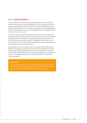#### 11.3 Suncorp Stadium

Suncorp Stadium is the premier rectangular stadium in Australia and has retained that status since its redevelopment in 2003, taking over from ANZ Stadium which itself had taken over that title since its development for the Sydney 2000 Olympic Games. However, the reputation of Suncorp Stadium is at risk from significant investment in rectangular stadiums in NSW which will occur over the next four years.

In order to remain competitive with the best new venues in the country, SQ will need to consider ways to enhance and refresh the venue over the coming decade and work closely with the Queensland Government to deliver this. The Taskforce understands the capacity is thought to be ideal from hirers who host sell-out events with the SQ hire agreement model enabling hirers to make significant revenue from the venue.

Improvements to Suncorp Stadium over time need to deliver better venue offerings. The logical location is the western stand. Redevelopment of this stand would significantly modernise the venue and elevate the corporate and premium seating offerings to a new level comparable with new southern venues. Technology within the venue could be improved as could other various amenities.

#### **Finding 11.1**

Suncorp Stadium will likely need mid-life capital improvements made to its infrastructure within the next five to 10 years in order for the venue to retain its status as the premier rectangular venue in Australia.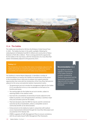*Australia Vs England Ashes Test Match, The Gabba © Stadiums Queensland*



#### 11.4 The Gabba

The Gabba was transferred to SQ from the Brisbane Cricket Ground Trust in 2001. The Gabba has been in the public spotlight, following the redevelopment of Adelaide Oval (\$535 million) and construction of Optus Stadium in Perth (\$1.4 billion). There is strong potential for opportunity for the Gabba in the near future, with the introduction of a Cross River Rail station immediately adjacent to the ground by 2023.

#### **Finding 11.2**

The introduction of a Cross River Rail station immediately adjacent to the Gabba will provide an unmatched opportunity to significantly improve accessibility and connectivity for the Gabba venue and precinct.

The Taskforce's Interim Report (Appendix 1) identified a number of recommendations to improve the viability and performance of the venue in the immediate future, while also to prepare and support potential opportunities that come with the introduction of the Cross River Rail precinct adjacent to the venue and potential stadium improvement works:

- » The government put out to tender the management rights for the Gabba if it is cost effective to do so, to be undertaken on the basis of no frontline job losses.
- » The naming rights for the Gabba be put out to tender, subject to retaining Gabba in the stadium name.
- » Fast track the consolidation of ownership of assets adjacent to the Gabba to provide a once off opportunity to develop a seamless major entry and activation point for the Gabba.
- » That land declared under the MSF Act may be used for commercial outcomes by SQ or leaseholders, where a compatible social or community benefit can be demonstrated.
- » Enhancements to the Gabba be made in conjunction with stadium access improvements delivered through the Cross River Rail project and any potential 2032 Olympic bid.
- » DTMR to upgrade all Traffic Management Plans to ensure consistency with the principles based Traffic Management Plan framework.

#### **Recommendation 11.1**

Any significant internal upgrade or improvement to the Gabba should be carefully considered by Stadiums Queensland and the Queensland Government in alignment with the proposed stadium decision making framework.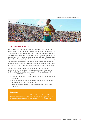*Luke Matthews, 800m Bronze Medallist, 2018 Gold Coast Commonwealth Games, Metricon Stadium © Michael Dodge*



#### 11.5 Metricon Stadium

Metricon Stadium is a regional, single tenant venue that has underlying issues relating to reduced public transport options and is unique within the SQ and Australian sporting landscape due to its management arrangements. The AFL holds a long-term lease for the asset that includes all maintenance, asset enhancement and asset replacement responsibilities. The Gold Coast Suns hold a sub-lease with the AFL for daily management rights for the venue.

The Taskforce's Interim Report (Appendix 1) recommended the Government undertake certain actions that will help reduce the costs currently imposed on the Gold Coast Suns for event day costs and annual asset replacement costs.

The Taskforce estimates if the Interim Report recommendations are implemented, the Suns will potentially benefit from an improvement in their annual position relating to the operation of Metricon Stadium of approximately \$830,000, comprising:

- » reduction in annual Asset Replacement contributions of approximately \$440,000,
- » potential to generate new revenue from commercial opportunities of approximately \$250,000 per annum, and
- » annual public transport levy savings from application of the cap of \$140,000.

#### **Finding 11.3**

The implementation of recommendations of the Interim Report of the Stadium Taskforce may save the Gold Coast Suns, as the appointed venue management on behalf of the AFL, approximately \$830,000 per annum.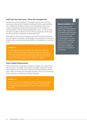#### Gold Coast Suns Sub-Lease / Venue Hire Arrangements

Towards the end of the Taskforce's consultation process, the Gold Coast Suns wrote to SQ and to the Taskforce notifying of intent to seek alternative use arrangements for Metricon Stadium if the management of the venue remains unsustainable despite the implementation of the Taskforce's recommendations and the impending additional content. In order for SQ or the State to be able to influence the Suns hiring arrangements at the venue, the AFL would have to relinquish the lease back to SQ.

When Metricon Stadium was developed and the AFL lease was entered into, the State agreed to contribute capital funding to the development of Metricon Stadium and accept ownership responsibility, at nil ongoing cost to the State or SQ.

#### **Finding 11.4**

The State agreed to provide funding to the construction of Metricon Stadium if the AFL agreed the venue would operate at no cost to the State or Stadiums Queensland. The AFL lease reflects the terms agreed to in a Memorandum of Understanding between the AFL and the State at the time of the State approving funds to deliver the stadium.

#### Future Capital Enhancements

Future infrastructure requirements for Metricon Stadium are a matter for the AFL to consider. The design of the stadium to provide a capacity of 26,000 left the option for the venue to be increased to 40,000 if desired at a future point. Based on existing and anticipated utilisation, there is no current need for this expansion to be planned in forward estimates.

#### **Finding 11.5**

Metricon Stadium has a capacity of 26,000, the stadium was designed with the ability to increase this capacity to 40,000 if required. Based on existing and projected utilisation, there is no current need for this expansion.

#### **Recommendation 11.2**

The State adhere to the existing terms of the Metricon Stadium lease regardless of the operating model adopted by the lease holder, the AFL. Under the lease, the AFL are responsible for all costs involved with the operation, asset maintenance, asset replacement and asset enhancement of Metricon Stadium for the duration of the AFL lease.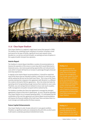*Cbus Super Stadium © Stadiums Queensland*



#### 11.6 Cbus Super Stadium

Cbus Super Stadium is a regional, single tenant venue that opened in 2008. The stadium has underlying issues relating to its location including a small land parcel for the type of facility, significant local road network issues (located on a cul-de-sac and lack of public car parking) and lack of options in the supply of public transport bus operators.

#### Interim Report

The Taskforce's Interim Report identified a number of recommendations to improve the operation of the venue on event day which would likely lead to improved access, new revenue generating opportunities and reduced event costs which is hoped will lead to an increase in patronage through enhanced event day experiences.

In regards to the Interim Report recommendations, it should be noted that many of the items that are intended to deliver a reduction in event day costs will be realised by SQ and not the Gold Coast Titans. This is due to the Titans recently entering into a long-term hire agreement with SQ which is a different hire model to the bulk of SQ hire agreements. SQ is the entity that holds the operating risk of not generating enough revenue from matches to cover costs. Therefore, any cost savings that are realised to venue costs (such as police, traffic management and public transport) will be realised by SQ.

The Taskforce considers the Titans hire agreement is amongst the strongest agreements in favour of the hirer in Queensland. As such, SQ will be operating Cbus Super Stadium at an increased operating deficit. It is anticipated that the combination of the new hire agreement and Interim Report recommendations will improve the financial viability of the Gold Coast Titans and place them in a much stronger and viable position for future seasons.

#### Future Capital Enhancements

Cbus Super Stadium is only 10 years old and is in very good condition. Therefore no significant works are scheduled by SQ until 2034 at which point it will need to undertake grandstand refurbishment works.

#### **Finding 11.6**

The recently entered into hire agreement for the Gold Coast Titans at Cbus Super Stadium has arrangements that strongly support the Gold Coast Titans, this in addition to the recommendations in the Taskforce's Interim Report should improve the operating position of the Gold Coast Titans, and has the potential to reduce Stadiums Queensland operating loss of hosting Gold Super Stadium.

#### **Finding 11.7**

No major capital works are currently required for Cbus years based on current usage.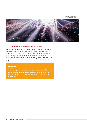*Brisbane Entertainment Centre © Justin Ma Photography*



#### 11.7 Brisbane Entertainment Centre

The Brisbane Entertainment Centre was opened in 1986 and is an ageing venue nearing the end of its useful life. Despite its age and location (20km from the Brisbane CBD), the venue usually performs soundly due to the amount of concert and entertainment event content it attracts. The Taskforce understands that the development of a Brisbane CBD-based new entertainment centre would see an increase in this level of content coming to Queensland.

#### **Finding 11.8**

The Brisbane Entertainment Centre is an ageing venue nearing the end of its useful life. The location of the Brisbane Entertainment Centre does not meet contemporary standards for a major entertainment facility including limited access to scheduled high frequency and multi-modal public transport.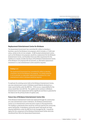*Rumba Concert 2002, Brisbane Entertainment Centre © Stadiums Queensland*



#### Replacement Entertainment Centre for Brisbane

The Queensland Government has committed \$5 million to develop a business case for the Brisbane Live proposal, which includes a 17,000 seat arena, similar to the LA Live complex. A CBD-located entertainment centre, such as the Brisbane Live proposal, would be a replacement for the Brisbane Entertainment Centre, and therefore there was little requirement for the Taskforce to closely consider the future of the Brisbane Entertainment Centre. If the Brisbane Live proposal did not proceed, an alternative replacement investment in a new entertainment centre would be required.

#### **Finding 11.9**

The Queensland Government has committed \$5 million to develop a business case for the Brisbane Live proposal. If a similar proposal is not to proceed, an alternative replacement investment for a new entertainment centre in Brisbane would be required.

To replicate the existing events held at the Brisbane Entertainment Centre, any new entertainment centre in Brisbane would likely be declared as a major sports facility under the MSF Act. If this occurs, responsibility for the venue would then rest with SQ. The capital cost to construct a Brisbane Entertainment Centre replacement will be significant and there is potential for the State to be the primary funder of capital costs.

#### Future Use of Brisbane Entertainment Centre Site

If the Brisbane Entertainment Centre was replaced through the construction of a new entertainment centre in Brisbane, the Brisbane Entertainment Centre as an entertainment centre becomes surplus to SQ requirements. The Taskforce understands there would be continual need for the community sports hall facility. A standalone community sports hall would not meet required definitions under the MSF Act to be managed by SQ. It would be logical for this component of the Brisbane Entertainment Centre site to be transferred from SQ to the Queensland Government.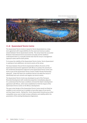*Brisbane International, Queensland Tennis Centre © Stadiums Queensland*



#### 11.8 Queensland Tennis Centre

The Queensland Tennis Centre is leased to Tennis Queensland on a long term agreement with responsibilities for the asset and revenue surplus shared between Tennis Queensland and SQ. The venue hosts the successful Brisbane International tennis tournament annually and the Taskforce understands there is a mutually shared view that the venue's management approach works well for both parties.

To increase the viability of the Queensland Tennis Centre, Tennis Queensland is seeking to host additional, non-tennis events at the venue.

The lease between SQ and Tennis Queensland reflects the terms of the Queensland Government agreement with Mirvac to protect the amenity of the residential development adjacent to the Queensland Tennis Centre and built as part of the Queensland Tennis Centre's Public-Private-Partnership approach. Under the lease are conditions that do not allow the venue to specifically host rock concerts and regular non-tennis events.

The Queensland Tennis Centre was developed as part of the Tennyson Riverside Development with residential properties immediately adjacent. It is understood that the lease conditions mirrored the State's development agreement with Mirvac, which were established to limit the impact of the Queensland Tennis Centre on the Mirvac development.

The open aired design of the Queensland Tennis Centre would not likely be suitable to rock concerts but is suitable to host other types of non-tennis and low-impact events. Noting this, Tennis Queensland should pursue other compatible venue uses to help increase utilisation and viability within the parameters of the existing Development Agreement.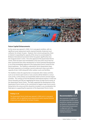*Queensland Tennis Centre © Stadiums Queensland*



#### Future Capital Enhancements

As the venue was opened in 2009, it is in very good condition, with no significant asset replacement works required (outside of planned court surfaces), for at least 10 years. However, from a tennis perspective, there is interest in expanding the capacity of the venue to accommodate the Brisbane International tournament which has grown significantly since the inaugural event in 2010. Since the approval of the Queensland Tennis Centre, there has been land immediately to the east of the venue that has been quarantined from other development (a Transit Oriented Development is occurring immediately adjacent to the Queensland Tennis Centre) for the future expansion. The Taskforce understands Tennis Queensland views the future expansion as including a second undercover show-court with a capacity of over 2,000 along with other outdoor courts and facilities.

The Taskforce views the opportunity to incorporate other indoor activities such as non-tennis sport events or rock concerts will be limited in a venue such as this, so the primary use would likely relate to tennis and low-impact activities. The contract to host the Brisbane International expires in 2020 and Tennis Australia and TEQ are negotiating the future of major tennis events at the Queensland Tennis Centre. The State supported the development of the Queensland Tennis Centre on the commitment of regular major tennis events being held at the venue and this should be included in any consideration the State gives to supporting the expansion of the Queensland Tennis Centre.

#### **Finding 11.10**

The Queensland Tennis Centre was opened in 2009 and is in very good condition, with no significant asset replacement works required (outside of planned court surfaces), for at least 10 years.

#### **Recommendation 11.3**

Any expansion or upgrade of the Queensland Tennis Centre should be carefully considered by Stadiums Queensland and the Queensland Government in alignment with the proposed stadium decision making framework.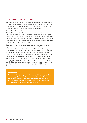#### 11.9 Sleeman Sports Complex

The Sleeman Sports Complex was transferred to SQ from the Brisbane City Council in 2002. Sleeman Sports Complex is one of two venues within the SQ portfolio that is used predominantly for community participation and elite athlete development, training and competition purposes.

The site has extensive infrastructure which also includes the Chandler Indoor Arena, Chandler Theatre, Queensland State Gymnastics Training Centre, Dry Diving Training Hall, State Weightlifting Facility and Chandler Lodge and Cabins. SQ has done extensive maintenance and improvements on all of the venues, but the majority of them are ageing and will continue to need minor investment to continue to deliver the current benefits and the site overall has a significant depreciation value attached to it.

This means that the venue typically operates at a loss due to its (largely) ageing and extensive infrastructure on site and the subsidised and noncommercial utilisation patterns. Unlike the other community facility, the Queensland Sport and Athletics Centre, Sleeman Sports Complex does not host profitable major events (ie. concerts) and therefore it is a financial drain on SQ in an accounting sense. However, the venue has over 700,000 users per annum and delivers significant benefit to the Queensland community. The venue has seen significant one-off capital funding provided to it by the Queensland Government in recent years in order to deliver a nationalstandard BMX track, a second 50 metre pool at the Brisbane Aquatic Centre and the Anna Meares Velodrome which hosted the 2018 Commonwealth Games track cycling events.

#### **Finding 11.11**

The Sleeman Sports Complex is a significant contributor to Queensland community participation and elite athlete development outcomes. Recent infrastructure investment has confirmed its long term future, however the cost of managing the venue is increasing due to the age and expanse of facilities and subsidised utilisation.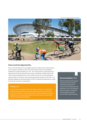*Sleeman Sports Complex © Stadiums Queensland*



#### Future Land Use Opportunities

One on-site facility that is now largely surplus to SQ and user requirements is the outdoor velodrome which has been replaced by the Anna Meares Velodrome located elsewhere on site. This site presents a potential future opportunity for SQ to demolish the outdoor velodrome facility built for the 1982 Commonwealth Games and to utilise the site for commercialisation opportunities to introduce new revenue generating streams to the site, or to develop additional sporting facilities if SQ or Government determines a need to fund and construct a new facility.

#### **Finding 11.12**

Surplus land is available at Sleeman Sports Complex as a result of the planned decommissioning of the old velodrome that has reached the end of its useful life. Opportunities exist to develop additional sporting facilities or commercial opportunities that could reduce the operating deficit of Stadiums Queensland.

#### **Recommendation 11.4**

Stadiums Queensland explore commercial and or facility development options for surplus land including the old velodrome site at the Sleeman Sports Complex, noting that this development would require State capital funding.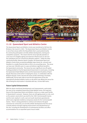*Monster Jam, Queensland Sport and Athletics Centre © Stadiums Queensland*



#### 11.10 Queensland Sport and Athletics Centre

The Queensland Sport and Athletics Centre was transferred to SQ from the Brisbane City Council in 2002. The Queensland Sport and Athletics Centre is one of two venues within the SQ portfolio that is used predominantly for community participation and elite athlete development, training and competition purposes. This means that the venue typically operates at a loss due to its (largely) ageing and extensive infrastructure on site and the subsidised and non-commercial utilisation patterns. Unlike the other community facility, Sleeman Sports Complex, the Queensland Sport and Athletics Centre hosts occasional profitable major events (ie. concerts) and therefore is a smaller financial drain on SQ in an accounting sense. The venue can have over 300,000 users in a year and delivers significant benefit to the Queensland community. The venue has seen significant one-off capital funding provided to it by the Queensland Government in recent years, including the Queensland State Netball Centre and the Queensland Academy of Sport Aquatic Recovery Centre which is helping the venue, in combination with the Brisbane Aquatic Centre, become the home of elite swimming in Australia. Additionally, SQ has been able to fund the full replacement of the two international-standard athletics tracks on site which now affords the venue the title of being the only location in Australia with two, 10-lane IAAF tracks.

#### Future Capital Enhancements

With the above mentioned developments and improvements, particularly the soon to be completed Queensland State Netball Centre, the long-term future of the Queensland Sport and Athletics Centre as a major sport facility in Queensland is assured. However, there are still ageing assets on site, such as the western stand which was built for the 1982 Commonwealth Games and the main stadium's north, east and south aluminium grandstands which were originally installed as temporary stands for the Commonwealth Games. There is strong potential to continue and enhance the good outcomes for community use and elite athlete development that the venue currently delivers through ongoing enhancement and refurbishment of the site, including the development of contemporary facilities and office accommodation for an expanded sports house model.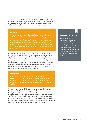The temporary grandstands are able to be retained but with a significant maintenance cost. The amount of events that utilise them (concerts and major entertainment events) is reducing over time as a result of better options at Suncorp Stadium and the expanding of the Gabba for one-off major events.

#### **Finding 11.13**

The number of major events that use all stands in the main stadium at the Queensland Sport and Athletics Centre are reducing over time as a result of better options being available at Suncorp Stadium and the expanding of the Gabba for one-off major events. The temporary aluminium grandstands at either end of the main stadium were built for the 1982 Commonwealth Games. The cost of maintaining these major events.

Removal of surplus aluminium stands surrounding the main stadium oval at the Queensland Sport and Athletics Centre would open up the site to significantly improve site accessibility and circulation as well as providing additional space for future development of additional sporting facilities to support community participation or elite athlete development. The introduction of new space for development at the Queensland Sport and Athletics Centre could also be used for commercial initiatives that are compatible to the existing Queensland Sport and Athletics Centre utilisation while contributing to a reduced SO operating deficit.

#### **Finding 11.14**

Removing the temporary grandstands would open up the Queensland Sport and Athletics Centre site and allow for future further development of the site including potential commercial developments that could be used to reduce Stadiums Queensland deficit.

The Queensland Sport and Athletics Centre western stand is a mix-use facility with a significant indoor footprint that is the administrative and training headquarters of the Queensland Academy of Sport and contains high performance training spaces, gymnasium and an indoor sports hall. The stand also houses numerous community sport and recreation office tenancies (eg. Athletics Queensland, Little Athletics Queensland) as well as multiple function spaces that SQ is able to hire and utilise in support of major events such as concerts and national athletics championships.

#### **Recommendation 11.5**

Stadiums Queensland undertake a cost benefit analysis of retaining the existing temporary aluminium stands at the Queensland Sport and Athletics Centre. The stands should be removed if it is beneficial to the State or Stadiums Queensland to do so.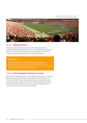*Brisbane Roar vs Central Coast Mariners, 2011 A-League Grand Final, Suncorp Stadium © Stadiums Queensland*



#### 11.11 Playing Surfaces

SQ places a significant priority and focus on the development and maintenance of its grass playing surfaces. SQ retains ground maintenance staff in-house and closely manages the event timetable to provide the surfaces appropriate time to recover from periods of heavy use.

#### **Finding 11.15**

The playing surfaces for all Stadiums Queensland stadiums is generally considered excellent including the surface of Suncorp Stadium for the summer football seasons and is comparable in quality

#### 11.12 Sporting High Performance Centres

With respect to high performance centres within Queensland, such as Bupa National Cricket Centre, detailed consideration of these facilities is not in scope of this Final Report. However, the Taskforce is aware that many sporting codes are in regular contact with the relevant Minister in regards to their high performance facility needs through the development of a Queensland Sport and Active Recreation Strategy.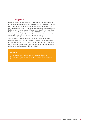#### 11.13 Ballymore

Ballymore is a rectangular stadium facility located in inner-Brisbane which is the spiritual home of rugby union in Queensland and is owned and operated by Queensland Rugby Union (QRU) under a deed of grant in trust (DOGIT), which was provided in 1973. Prior to the redevelopment of Suncorp Stadium, Ballymore was the host venue of Wallabies internationals and Queensland Reds matches. Ballymore had a capacity of 25,000 at that time and its current capacity is 18,000. It is noted that current use of the venue rarely approaches capacity due to the aging state of the facility.

The venue hosts the administration and training headquarters of the Queensland Reds and QRUs programs and has been the training venue for the Queensland Roar A-League sides. The Ballymore site, as it is currently constituted, is a relatively high cost venue, with the Taskforce understanding maintenance requirements are high for the QRU.

#### **Finding 11.16**

increasing and the asset is continuing to degrade with an annual net loss of \$1.5 million.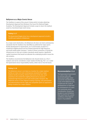#### Ballymore as a Major Events Venue

The Taskforce is aware of the venue's history which includes obtaining Development Approval from Brisbane City Council for National Rugby Academy. The Development Approval includes scope to return the stadium asset to a functional major event venue.

#### **Finding 11.17**

The Queensland Rugby Union has a development approval to build a 24,000-seat stadium at Ballymore.

As a major event destination, the Ballymore site does not meet contemporary standards that the Taskforce has identified as preferred for major sports facility development in Queensland, as it is land locked, located in a residential neighbourhood and has limited potential for high frequency and multi-modal public transport. Further to those constraints, to bring the infrastructure on-site up to modern standards would require a significant capital investment that would not alleviate the underlying location issues the site contains.

The Taskforce recommends the Ballymore site should remain as a Tier 3 stadium and not be considered a major stadium facility (eg. Tier 1 or 2 under the Queensland venue responsibility matrix), either now or into the future.

#### **Finding 11.18**

The Ballymore venue is not ideal as a location for a major stadium facility as it does not meet contemporary standards for a major stadium facility including, limited road access to the site, close proximity to the residential neighbourhood and no access to scheduled high frequency and multi-modal public transport. The Ballymore venue is more aligned to being a training, club participation and administrative hub for rugby and compatible sports as opposed to being a location for a major stadium.

#### **Recommendation 11.6**

The Queensland Government to continue talks with Queensland Rugby Union around the intended future scope of the Ballymore site, in-particular the scale of developments to help fund the development of a sport and community centre. Consideration should also be given to any limitations that result from the current conditions of the Deed of Grant in Trust (DOGIT).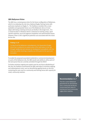#### QRU Ballymore Vision

The QRU has a contemporary vision for the future configuration of Ballymore, which is to redevelop the site into a National Rugby Training Centre with particular emphasis on Rugby 7s. The Taskforce considers this a more palatable and appropriate future use of the Ballymore site as it more aligns with being a training and local use facility in the longer term. It is a central location in Brisbane which is attractive to training camps, sport specific expertise, local and regional competition and administrative bases. However, there is still a significant potential cost associated with this vision for the site.

#### **Finding 11.19**

To help fund the Ballymore redevelopment, the Queensland Rugby Union has a preference to unlock some of the land value on the site through residential and commercial development sympathetic with the local area, while retaining a majority use of the precinct for sport and recreation.

To enable the proposed associated residential or commercial development on parts of the Ballymore site, the QRU would seek ability to utilise parts of the land parcel that are currently controlled through the DOGIT.

To further minimise ongoing and capital costs for any future refurbishing of the site, the Taskforce recommends the QRU seek ways to minimise ongoing and redevelopment costs, such as demolishing ageing stands on site and containing the main oval to a community and training venue with capacity for small, community matches.

#### **Recommendation 11.7**

That the current Ballymore grandstands be demolished and a community facility be constructed that caters to training and local community rugby union matches.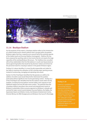*Taylor Swift Concert 2018, The Gabba © Stadiums Queensland*



#### 11.14 Boutique Stadium

For the purposes of this report, a boutique stadium refers to the introduction of a State-funded and/or owned stadium that is located within the greater Brisbane region that has a capacity up to around half of the existing capacity of the Gabba (oval) and Suncorp Stadium (rectangular). Publicly, this has been proposed by sporting codes to host events that do not require the large capacities of the existing Brisbane SQ venues. The Taskforce has consulted with all key stakeholders that hire SQ stadiums in south east Queensland as well as governing bodies that would be key decision makers and drivers for the perceived need for a boutique stadium in the greater Brisbane region.

Finding 10.5 above identifies it is more fiscally responsible and viable for the State to maximise the utilisation of SQ's existing major sporting venues instead of constructing, managing and operating new assets.

Section 9 of this Final Report identified that SQ operates at a deficit, the addition of another asset would likely further deteriorate this position particularly without significant new income-generating content. Finding 10.1 of this Final Report also identified that the five stadium assets within the SQ portfolio, including Suncorp Stadium and the Gabba, have capacity to host additional regular and one-off major event content. The potential view that a boutique stadium may attract new concert and entertainment events to Brisbane is potentially a false economy argument as Brisbane is already well serviced for major concert events between Suncorp Stadium, the Gabba, the Queensland Sport and Athletics Centre, the Brisbane Entertainment Centre, Sirromet Winery, the RNA Showgrounds and Brisbane City Council's Riverstage.

#### **Finding 11.20**

Capacity is available within the existing Stadiums Queensland portfolio, and other existing venues around Brisbane, to facilitate additional entertainment content. There is also more than adequate unused capacity at Suncorp Stadium additional regular or one-off sporting events.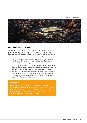*Suncorp Stadium ©Tourism and Events Queensland* 



#### Rectangular Boutique Stadium

The Taskforce has not identified a current or foreseeable future need for any new stadium or major sports facilities in Queensland. This would include a boutique rectangular stadium in the Brisbane region for the following reasons:

- » Suncorp Stadium has capacity to accommodate additional content,
- » there is currently no new or additional content at the major sporting event level that is likely to be attracted to Queensland based on the development of a new venue,
- » the clean stadium policy hire agreements in place for Suncorp Stadium allows for the hosting of events that have less than 10,000 patrons with reduced hire fees (as they are usually a percentage of ticket sales), and
- » event day costs for venue hirers that are controlled by the Queensland Government (police, public transport and traffic management) should be reduced once recommendations of the Taskforce's Interim Report and this Final Report are implemented.

#### **Finding 11.21**

Capacity is available within the existing Stadiums Queensland portfolio at Suncorp Stadium to cater for additional content including multi-year anchor tenants. Any increase in operating costs incurred to cost of developing and operating a new venue.